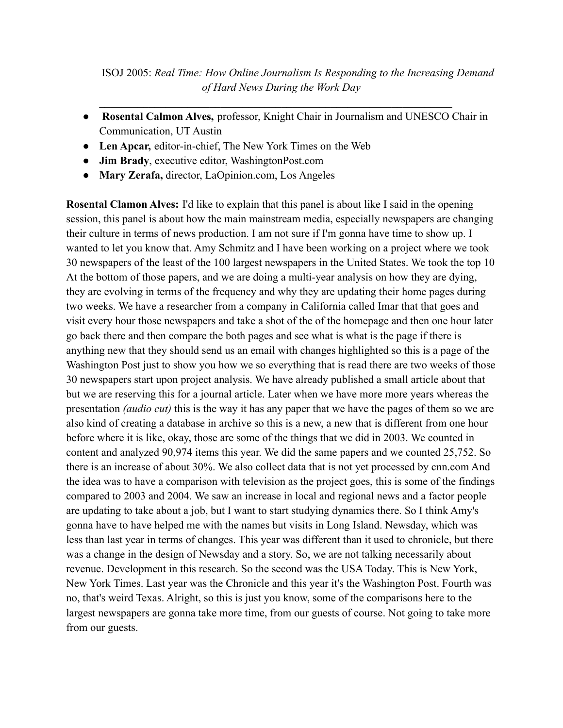ISOJ 2005: *Real Time: How Online Journalism Is Responding to the Increasing Demand of Hard News During the Work Day*

● **Rosental Calmon Alves,** professor, Knight Chair in Journalism and UNESCO Chair in Communication, UT Austin

 $\mathcal{L}_\text{max} = \frac{1}{2} \sum_{i=1}^n \mathcal{L}_\text{max}(\mathbf{z}_i - \mathbf{z}_i)$ 

- **Len Apcar,** editor-in-chief, The New York Times on the Web
- **Jim Brady**, executive editor, WashingtonPost.com
- **Mary Zerafa,** director, LaOpinion.com, Los Angeles

**Rosental Clamon Alves:** I'd like to explain that this panel is about like I said in the opening session, this panel is about how the main mainstream media, especially newspapers are changing their culture in terms of news production. I am not sure if I'm gonna have time to show up. I wanted to let you know that. Amy Schmitz and I have been working on a project where we took 30 newspapers of the least of the 100 largest newspapers in the United States. We took the top 10 At the bottom of those papers, and we are doing a multi-year analysis on how they are dying, they are evolving in terms of the frequency and why they are updating their home pages during two weeks. We have a researcher from a company in California called Imar that that goes and visit every hour those newspapers and take a shot of the of the homepage and then one hour later go back there and then compare the both pages and see what is what is the page if there is anything new that they should send us an email with changes highlighted so this is a page of the Washington Post just to show you how we so everything that is read there are two weeks of those 30 newspapers start upon project analysis. We have already published a small article about that but we are reserving this for a journal article. Later when we have more more years whereas the presentation *(audio cut)* this is the way it has any paper that we have the pages of them so we are also kind of creating a database in archive so this is a new, a new that is different from one hour before where it is like, okay, those are some of the things that we did in 2003. We counted in content and analyzed 90,974 items this year. We did the same papers and we counted 25,752. So there is an increase of about 30%. We also collect data that is not yet processed by cnn.com And the idea was to have a comparison with television as the project goes, this is some of the findings compared to 2003 and 2004. We saw an increase in local and regional news and a factor people are updating to take about a job, but I want to start studying dynamics there. So I think Amy's gonna have to have helped me with the names but visits in Long Island. Newsday, which was less than last year in terms of changes. This year was different than it used to chronicle, but there was a change in the design of Newsday and a story. So, we are not talking necessarily about revenue. Development in this research. So the second was the USA Today. This is New York, New York Times. Last year was the Chronicle and this year it's the Washington Post. Fourth was no, that's weird Texas. Alright, so this is just you know, some of the comparisons here to the largest newspapers are gonna take more time, from our guests of course. Not going to take more from our guests.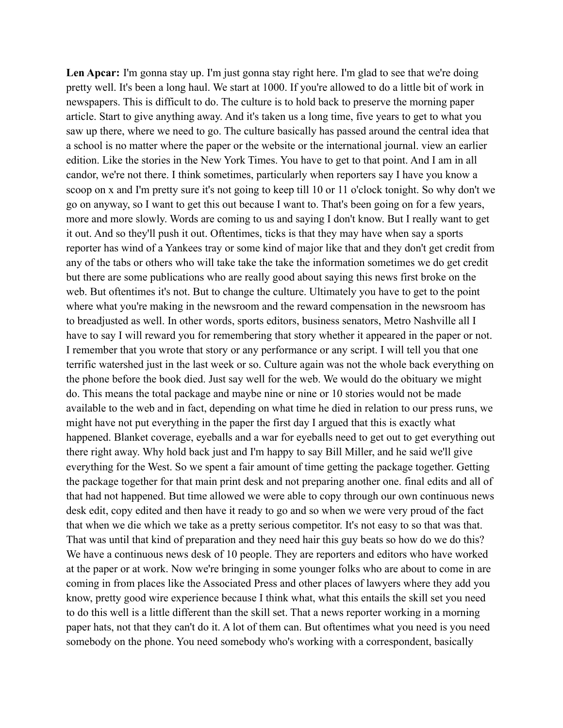Len Apcar: I'm gonna stay up. I'm just gonna stay right here. I'm glad to see that we're doing pretty well. It's been a long haul. We start at 1000. If you're allowed to do a little bit of work in newspapers. This is difficult to do. The culture is to hold back to preserve the morning paper article. Start to give anything away. And it's taken us a long time, five years to get to what you saw up there, where we need to go. The culture basically has passed around the central idea that a school is no matter where the paper or the website or the international journal. view an earlier edition. Like the stories in the New York Times. You have to get to that point. And I am in all candor, we're not there. I think sometimes, particularly when reporters say I have you know a scoop on x and I'm pretty sure it's not going to keep till 10 or 11 o'clock tonight. So why don't we go on anyway, so I want to get this out because I want to. That's been going on for a few years, more and more slowly. Words are coming to us and saying I don't know. But I really want to get it out. And so they'll push it out. Oftentimes, ticks is that they may have when say a sports reporter has wind of a Yankees tray or some kind of major like that and they don't get credit from any of the tabs or others who will take take the take the information sometimes we do get credit but there are some publications who are really good about saying this news first broke on the web. But oftentimes it's not. But to change the culture. Ultimately you have to get to the point where what you're making in the newsroom and the reward compensation in the newsroom has to breadjusted as well. In other words, sports editors, business senators, Metro Nashville all I have to say I will reward you for remembering that story whether it appeared in the paper or not. I remember that you wrote that story or any performance or any script. I will tell you that one terrific watershed just in the last week or so. Culture again was not the whole back everything on the phone before the book died. Just say well for the web. We would do the obituary we might do. This means the total package and maybe nine or nine or 10 stories would not be made available to the web and in fact, depending on what time he died in relation to our press runs, we might have not put everything in the paper the first day I argued that this is exactly what happened. Blanket coverage, eyeballs and a war for eyeballs need to get out to get everything out there right away. Why hold back just and I'm happy to say Bill Miller, and he said we'll give everything for the West. So we spent a fair amount of time getting the package together. Getting the package together for that main print desk and not preparing another one. final edits and all of that had not happened. But time allowed we were able to copy through our own continuous news desk edit, copy edited and then have it ready to go and so when we were very proud of the fact that when we die which we take as a pretty serious competitor. It's not easy to so that was that. That was until that kind of preparation and they need hair this guy beats so how do we do this? We have a continuous news desk of 10 people. They are reporters and editors who have worked at the paper or at work. Now we're bringing in some younger folks who are about to come in are coming in from places like the Associated Press and other places of lawyers where they add you know, pretty good wire experience because I think what, what this entails the skill set you need to do this well is a little different than the skill set. That a news reporter working in a morning paper hats, not that they can't do it. A lot of them can. But oftentimes what you need is you need somebody on the phone. You need somebody who's working with a correspondent, basically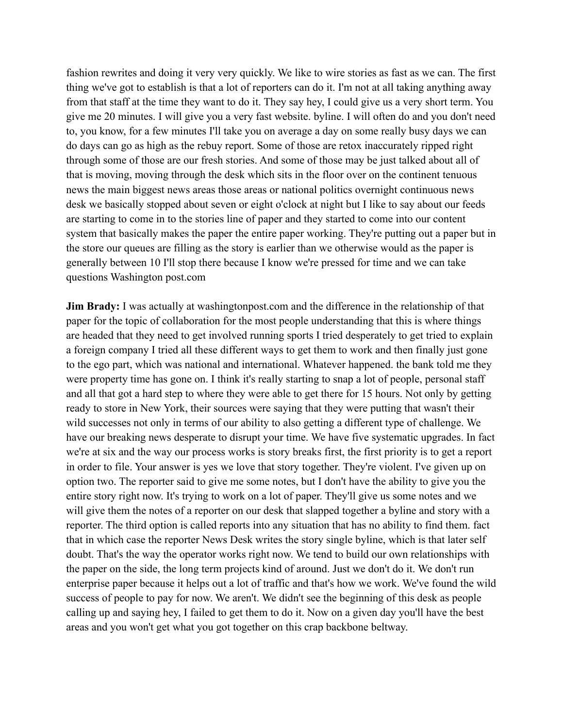fashion rewrites and doing it very very quickly. We like to wire stories as fast as we can. The first thing we've got to establish is that a lot of reporters can do it. I'm not at all taking anything away from that staff at the time they want to do it. They say hey, I could give us a very short term. You give me 20 minutes. I will give you a very fast website. byline. I will often do and you don't need to, you know, for a few minutes I'll take you on average a day on some really busy days we can do days can go as high as the rebuy report. Some of those are retox inaccurately ripped right through some of those are our fresh stories. And some of those may be just talked about all of that is moving, moving through the desk which sits in the floor over on the continent tenuous news the main biggest news areas those areas or national politics overnight continuous news desk we basically stopped about seven or eight o'clock at night but I like to say about our feeds are starting to come in to the stories line of paper and they started to come into our content system that basically makes the paper the entire paper working. They're putting out a paper but in the store our queues are filling as the story is earlier than we otherwise would as the paper is generally between 10 I'll stop there because I know we're pressed for time and we can take questions Washington post.com

**Jim Brady:** I was actually at washingtonpost.com and the difference in the relationship of that paper for the topic of collaboration for the most people understanding that this is where things are headed that they need to get involved running sports I tried desperately to get tried to explain a foreign company I tried all these different ways to get them to work and then finally just gone to the ego part, which was national and international. Whatever happened. the bank told me they were property time has gone on. I think it's really starting to snap a lot of people, personal staff and all that got a hard step to where they were able to get there for 15 hours. Not only by getting ready to store in New York, their sources were saying that they were putting that wasn't their wild successes not only in terms of our ability to also getting a different type of challenge. We have our breaking news desperate to disrupt your time. We have five systematic upgrades. In fact we're at six and the way our process works is story breaks first, the first priority is to get a report in order to file. Your answer is yes we love that story together. They're violent. I've given up on option two. The reporter said to give me some notes, but I don't have the ability to give you the entire story right now. It's trying to work on a lot of paper. They'll give us some notes and we will give them the notes of a reporter on our desk that slapped together a byline and story with a reporter. The third option is called reports into any situation that has no ability to find them. fact that in which case the reporter News Desk writes the story single byline, which is that later self doubt. That's the way the operator works right now. We tend to build our own relationships with the paper on the side, the long term projects kind of around. Just we don't do it. We don't run enterprise paper because it helps out a lot of traffic and that's how we work. We've found the wild success of people to pay for now. We aren't. We didn't see the beginning of this desk as people calling up and saying hey, I failed to get them to do it. Now on a given day you'll have the best areas and you won't get what you got together on this crap backbone beltway.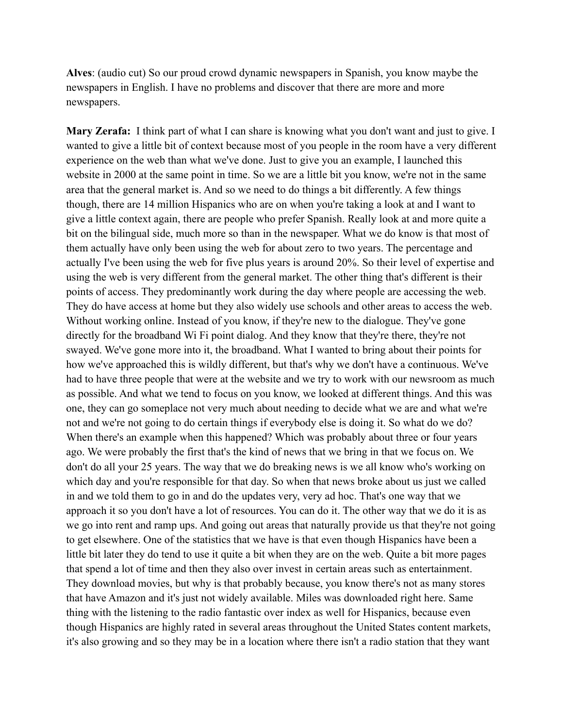**Alves**: (audio cut) So our proud crowd dynamic newspapers in Spanish, you know maybe the newspapers in English. I have no problems and discover that there are more and more newspapers.

**Mary Zerafa:** I think part of what I can share is knowing what you don't want and just to give. I wanted to give a little bit of context because most of you people in the room have a very different experience on the web than what we've done. Just to give you an example, I launched this website in 2000 at the same point in time. So we are a little bit you know, we're not in the same area that the general market is. And so we need to do things a bit differently. A few things though, there are 14 million Hispanics who are on when you're taking a look at and I want to give a little context again, there are people who prefer Spanish. Really look at and more quite a bit on the bilingual side, much more so than in the newspaper. What we do know is that most of them actually have only been using the web for about zero to two years. The percentage and actually I've been using the web for five plus years is around 20%. So their level of expertise and using the web is very different from the general market. The other thing that's different is their points of access. They predominantly work during the day where people are accessing the web. They do have access at home but they also widely use schools and other areas to access the web. Without working online. Instead of you know, if they're new to the dialogue. They've gone directly for the broadband Wi Fi point dialog. And they know that they're there, they're not swayed. We've gone more into it, the broadband. What I wanted to bring about their points for how we've approached this is wildly different, but that's why we don't have a continuous. We've had to have three people that were at the website and we try to work with our newsroom as much as possible. And what we tend to focus on you know, we looked at different things. And this was one, they can go someplace not very much about needing to decide what we are and what we're not and we're not going to do certain things if everybody else is doing it. So what do we do? When there's an example when this happened? Which was probably about three or four years ago. We were probably the first that's the kind of news that we bring in that we focus on. We don't do all your 25 years. The way that we do breaking news is we all know who's working on which day and you're responsible for that day. So when that news broke about us just we called in and we told them to go in and do the updates very, very ad hoc. That's one way that we approach it so you don't have a lot of resources. You can do it. The other way that we do it is as we go into rent and ramp ups. And going out areas that naturally provide us that they're not going to get elsewhere. One of the statistics that we have is that even though Hispanics have been a little bit later they do tend to use it quite a bit when they are on the web. Quite a bit more pages that spend a lot of time and then they also over invest in certain areas such as entertainment. They download movies, but why is that probably because, you know there's not as many stores that have Amazon and it's just not widely available. Miles was downloaded right here. Same thing with the listening to the radio fantastic over index as well for Hispanics, because even though Hispanics are highly rated in several areas throughout the United States content markets, it's also growing and so they may be in a location where there isn't a radio station that they want